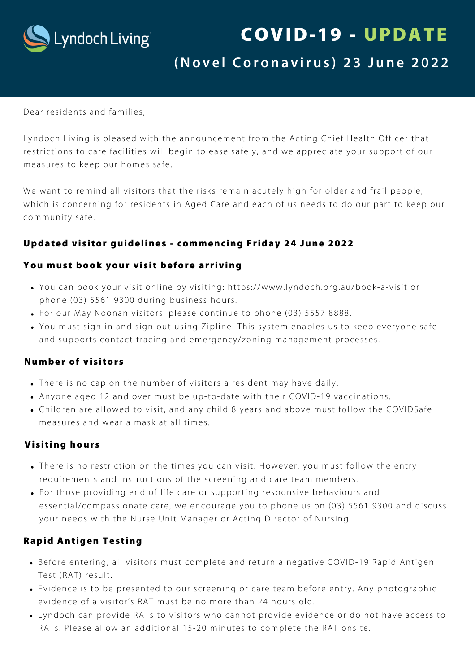

# COVID-19 - UPDATE

# (Novel Coronavirus) 23 June 2022

Dear residents and families,

Lyndoch Living is pleased with the announcement from the Acting Chief Health Officer that restrictions to care facilities will begin to ease safely, and we appreciate your support of our measures to keep our homes safe.

We want to remind all visitors that the risks remain acutely high for older and frail people, which is concerning for residents in Aged Care and each of us needs to do our part to keep our community safe.

#### Updated visitor guidelines - commencing Friday 24 June 2022

#### You must book your visit before arriving

- . You can book your visit online by visiting: https://www.[lyndoch.org.au/book](https://www.lyndoch.org.au/book-a-visit)-a-visit or phone (03) 5561 9300 during business hours.
- For our May Noonan visitors, please continue to phone (03) 5557 8888.
- You must sign in and sign out using Zipline. This system enables us to keep everyone safe and supports contact tracing and emergency/zoning management processes.

#### Number of visitors

- There is no cap on the number of visitors a resident may have daily.
- Anyone aged 12 and over must be up-to-date with their COVID-19 vaccinations.
- Children are allowed to visit, and any child 8 years and above must follow the COVIDSafe measures and wear a mask at all times.

#### Visiting hours

- There is no restriction on the times you can visit. However, you must follow the entry requirements and instructions of the screening and care team members.
- For those providing end of life care or supporting responsive behaviours and essential/compassionate care, we encourage you to phone us on (03) 5561 9300 and discuss your needs with the Nurse Unit Manager or Acting Director of Nursing.

#### Rapid Antigen Testing

- Before entering, all visitors must complete and return a negative COVID-19 Rapid Antigen Test (RAT) result.
- Evidence is to be presented to our screening or care team before entry. Any photographic evidence of a visitor's RAT must be no more than 24 hours old.
- Lyndoch can provide RATs to visitors who cannot provide evidence or do not have access to RATs. Please allow an additional 15-20 minutes to complete the RAT onsite.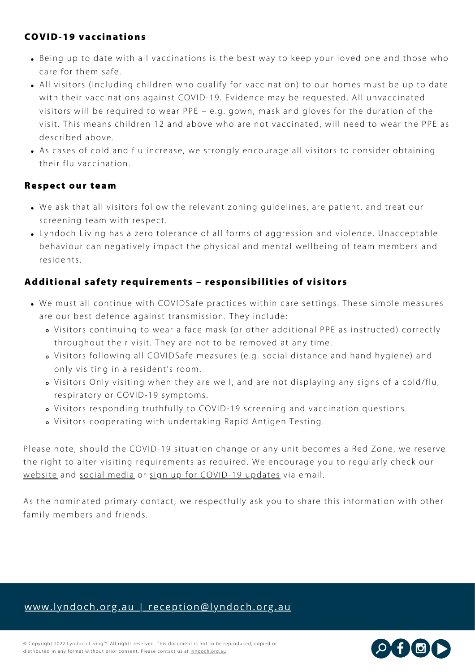#### COVID-19 vaccinations

- Being up to date with all vaccinations is the best way to keep your loved one and those who care for them safe.
- All visitors (including children who qualify for vaccination) to our homes must be up to date with their vaccinations against COVID-19. Evidence may be requested. All unvaccinated visitors will be required to wear PPE – e.g. gown, mask and gloves for the duration of the visit. This means children 12 and above who are not vaccinated, will need to wear the PPE as described above.
- As cases of cold and flu increase, we strongly encourage all visitors to consider obtaining their flu vaccination.

#### Respect our team

- . We ask that all visitors follow the relevant zoning guidelines, are patient, and treat our screening team with respect.
- Lyndoch Living has a zero tolerance of all forms of aggression and violence. Unacceptable behaviour can negatively impact the physical and mental wellbeing of team members and residents.

#### Additional safety requirements - responsibilities of visitors

- We must all continue with COVIDSafe practices within care settings. These simple measures are our best defence against transmission. They include:
	- Visitors continuing to wear a face mask (or other additional PPE as instructed) correctly throughout their visit. They are not to be removed at any time.
	- o Visitors following all COVIDSafe measures (e.g. social distance and hand hygiene) and only visiting in a resident's room.
	- Visitors Only visiting when they are well, and are not displaying any signs of a cold/flu, respiratory or COVID-19 symptoms.
	- Visitors responding truthfully to COVID-19 screening and vaccination questions.
	- o Visitors cooperating with undertaking Rapid Antigen Testing.

Please note, should the COVID-19 situation change or any unit becomes a Red Zone, we reserve the right to alter visiting requirements as required. We encourage you to regularly check our [website](https://www.lyndoch.org.au/covid-19-updates/) and social [media](https://www.facebook.com/LyndochLiving/) or sign up for [COVID-19](https://www.lyndoch.org.au/covid-19-mailing-list-signup/) updates via email.

As the nominated primary contact, we respectfully ask you to share this information with other family members and friends.

## www.lyndoch.org.au | [reception@lyndoch.org.au](https://www.lyndoch.org.au/)